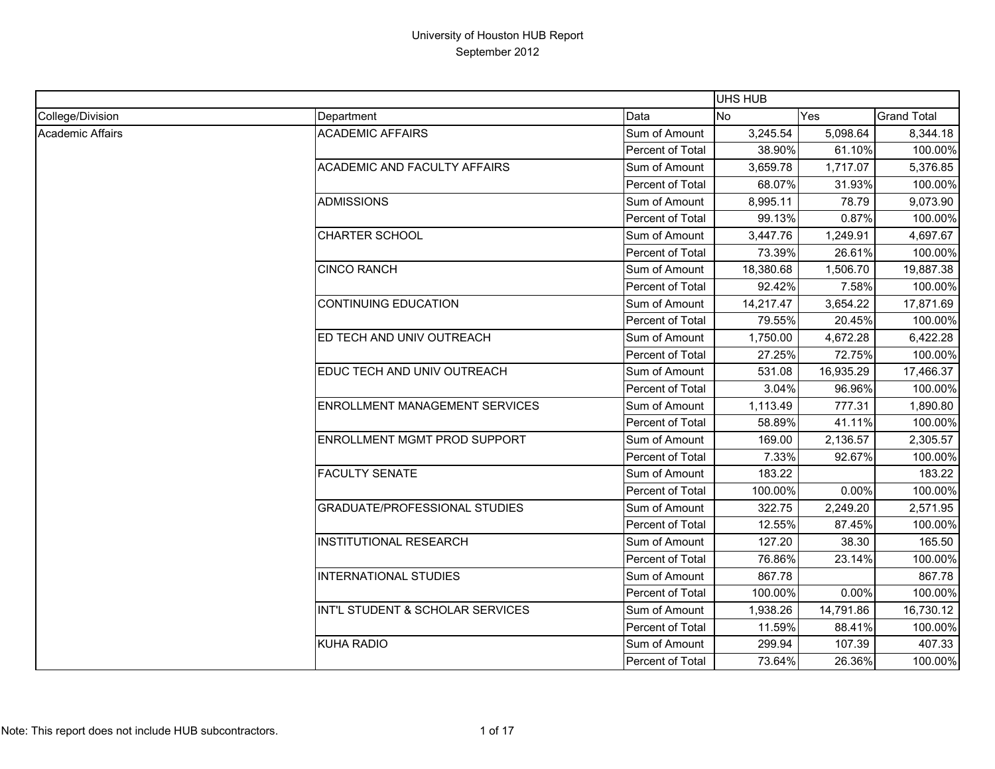|                  |                                      |                  | <b>UHS HUB</b> |           |                    |
|------------------|--------------------------------------|------------------|----------------|-----------|--------------------|
| College/Division | Department                           | Data             | <b>No</b>      | Yes       | <b>Grand Total</b> |
| Academic Affairs | <b>ACADEMIC AFFAIRS</b>              | Sum of Amount    | 3,245.54       | 5,098.64  | 8,344.18           |
|                  |                                      | Percent of Total | 38.90%         | 61.10%    | 100.00%            |
|                  | ACADEMIC AND FACULTY AFFAIRS         | Sum of Amount    | 3,659.78       | 1,717.07  | 5,376.85           |
|                  |                                      | Percent of Total | 68.07%         | 31.93%    | 100.00%            |
|                  | <b>ADMISSIONS</b>                    | Sum of Amount    | 8,995.11       | 78.79     | 9,073.90           |
|                  |                                      | Percent of Total | 99.13%         | 0.87%     | 100.00%            |
|                  | <b>CHARTER SCHOOL</b>                | Sum of Amount    | 3,447.76       | 1,249.91  | 4,697.67           |
|                  |                                      | Percent of Total | 73.39%         | 26.61%    | 100.00%            |
|                  | <b>CINCO RANCH</b>                   | Sum of Amount    | 18,380.68      | 1,506.70  | 19,887.38          |
|                  |                                      | Percent of Total | 92.42%         | 7.58%     | 100.00%            |
|                  | <b>CONTINUING EDUCATION</b>          | Sum of Amount    | 14,217.47      | 3,654.22  | 17,871.69          |
|                  |                                      | Percent of Total | 79.55%         | 20.45%    | 100.00%            |
|                  | ED TECH AND UNIV OUTREACH            | Sum of Amount    | 1,750.00       | 4,672.28  | 6,422.28           |
|                  |                                      | Percent of Total | 27.25%         | 72.75%    | 100.00%            |
|                  | EDUC TECH AND UNIV OUTREACH          | Sum of Amount    | 531.08         | 16,935.29 | 17,466.37          |
|                  |                                      | Percent of Total | 3.04%          | 96.96%    | 100.00%            |
|                  | ENROLLMENT MANAGEMENT SERVICES       | Sum of Amount    | 1,113.49       | 777.31    | 1,890.80           |
|                  |                                      | Percent of Total | 58.89%         | 41.11%    | 100.00%            |
|                  | ENROLLMENT MGMT PROD SUPPORT         | Sum of Amount    | 169.00         | 2,136.57  | 2,305.57           |
|                  |                                      | Percent of Total | 7.33%          | 92.67%    | 100.00%            |
|                  | <b>FACULTY SENATE</b>                | Sum of Amount    | 183.22         |           | 183.22             |
|                  |                                      | Percent of Total | 100.00%        | 0.00%     | 100.00%            |
|                  | <b>GRADUATE/PROFESSIONAL STUDIES</b> | Sum of Amount    | 322.75         | 2,249.20  | 2,571.95           |
|                  |                                      | Percent of Total | 12.55%         | 87.45%    | 100.00%            |
|                  | <b>INSTITUTIONAL RESEARCH</b>        | Sum of Amount    | 127.20         | 38.30     | 165.50             |
|                  |                                      | Percent of Total | 76.86%         | 23.14%    | 100.00%            |
|                  | <b>INTERNATIONAL STUDIES</b>         | Sum of Amount    | 867.78         |           | 867.78             |
|                  |                                      | Percent of Total | 100.00%        | 0.00%     | 100.00%            |
|                  | INT'L STUDENT & SCHOLAR SERVICES     | Sum of Amount    | 1,938.26       | 14,791.86 | 16,730.12          |
|                  |                                      | Percent of Total | 11.59%         | 88.41%    | 100.00%            |
|                  | <b>KUHA RADIO</b>                    | Sum of Amount    | 299.94         | 107.39    | 407.33             |
|                  |                                      | Percent of Total | 73.64%         | 26.36%    | 100.00%            |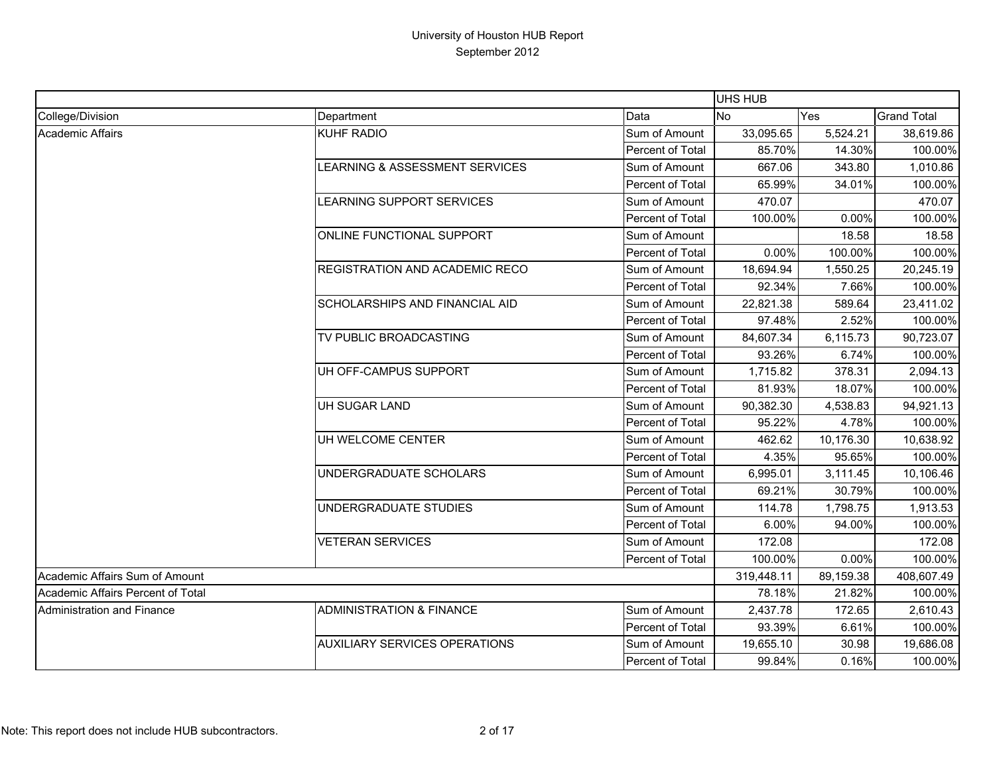|                                   |                                           |                         | UHS HUB    |           |                    |
|-----------------------------------|-------------------------------------------|-------------------------|------------|-----------|--------------------|
| College/Division                  | Department                                | Data                    | <b>No</b>  | Yes       | <b>Grand Total</b> |
| Academic Affairs                  | <b>KUHF RADIO</b>                         | Sum of Amount           | 33,095.65  | 5,524.21  | 38,619.86          |
|                                   |                                           | Percent of Total        | 85.70%     | 14.30%    | 100.00%            |
|                                   | <b>LEARNING &amp; ASSESSMENT SERVICES</b> | Sum of Amount           | 667.06     | 343.80    | 1,010.86           |
|                                   |                                           | Percent of Total        | 65.99%     | 34.01%    | 100.00%            |
|                                   | LEARNING SUPPORT SERVICES                 | Sum of Amount           | 470.07     |           | 470.07             |
|                                   |                                           | Percent of Total        | 100.00%    | 0.00%     | 100.00%            |
|                                   | ONLINE FUNCTIONAL SUPPORT                 | Sum of Amount           |            | 18.58     | 18.58              |
|                                   |                                           | <b>Percent of Total</b> | $0.00\%$   | 100.00%   | 100.00%            |
|                                   | <b>REGISTRATION AND ACADEMIC RECO</b>     | Sum of Amount           | 18,694.94  | 1,550.25  | 20,245.19          |
|                                   |                                           | Percent of Total        | 92.34%     | 7.66%     | 100.00%            |
|                                   | SCHOLARSHIPS AND FINANCIAL AID            | Sum of Amount           | 22,821.38  | 589.64    | 23,411.02          |
|                                   |                                           | Percent of Total        | 97.48%     | 2.52%     | 100.00%            |
|                                   | TV PUBLIC BROADCASTING                    | Sum of Amount           | 84,607.34  | 6,115.73  | 90,723.07          |
|                                   |                                           | Percent of Total        | 93.26%     | 6.74%     | 100.00%            |
|                                   | UH OFF-CAMPUS SUPPORT                     | Sum of Amount           | 1,715.82   | 378.31    | 2,094.13           |
|                                   |                                           | Percent of Total        | 81.93%     | 18.07%    | 100.00%            |
|                                   | UH SUGAR LAND                             | Sum of Amount           | 90,382.30  | 4,538.83  | 94,921.13          |
|                                   |                                           | Percent of Total        | 95.22%     | 4.78%     | 100.00%            |
|                                   | UH WELCOME CENTER                         | Sum of Amount           | 462.62     | 10,176.30 | 10,638.92          |
|                                   |                                           | <b>Percent of Total</b> | 4.35%      | 95.65%    | 100.00%            |
|                                   | UNDERGRADUATE SCHOLARS                    | Sum of Amount           | 6,995.01   | 3,111.45  | 10,106.46          |
|                                   |                                           | Percent of Total        | 69.21%     | 30.79%    | 100.00%            |
|                                   | UNDERGRADUATE STUDIES                     | Sum of Amount           | 114.78     | 1,798.75  | 1,913.53           |
|                                   |                                           | Percent of Total        | 6.00%      | 94.00%    | 100.00%            |
|                                   | <b>VETERAN SERVICES</b>                   | Sum of Amount           | 172.08     |           | 172.08             |
|                                   |                                           | Percent of Total        | 100.00%    | 0.00%     | 100.00%            |
| Academic Affairs Sum of Amount    |                                           |                         | 319,448.11 | 89,159.38 | 408,607.49         |
| Academic Affairs Percent of Total |                                           |                         | 78.18%     | 21.82%    | 100.00%            |
| Administration and Finance        | <b>ADMINISTRATION &amp; FINANCE</b>       | Sum of Amount           | 2,437.78   | 172.65    | 2,610.43           |
|                                   |                                           | Percent of Total        | 93.39%     | 6.61%     | 100.00%            |
|                                   | <b>AUXILIARY SERVICES OPERATIONS</b>      | Sum of Amount           | 19,655.10  | 30.98     | 19,686.08          |
|                                   |                                           | Percent of Total        | 99.84%     | 0.16%     | 100.00%            |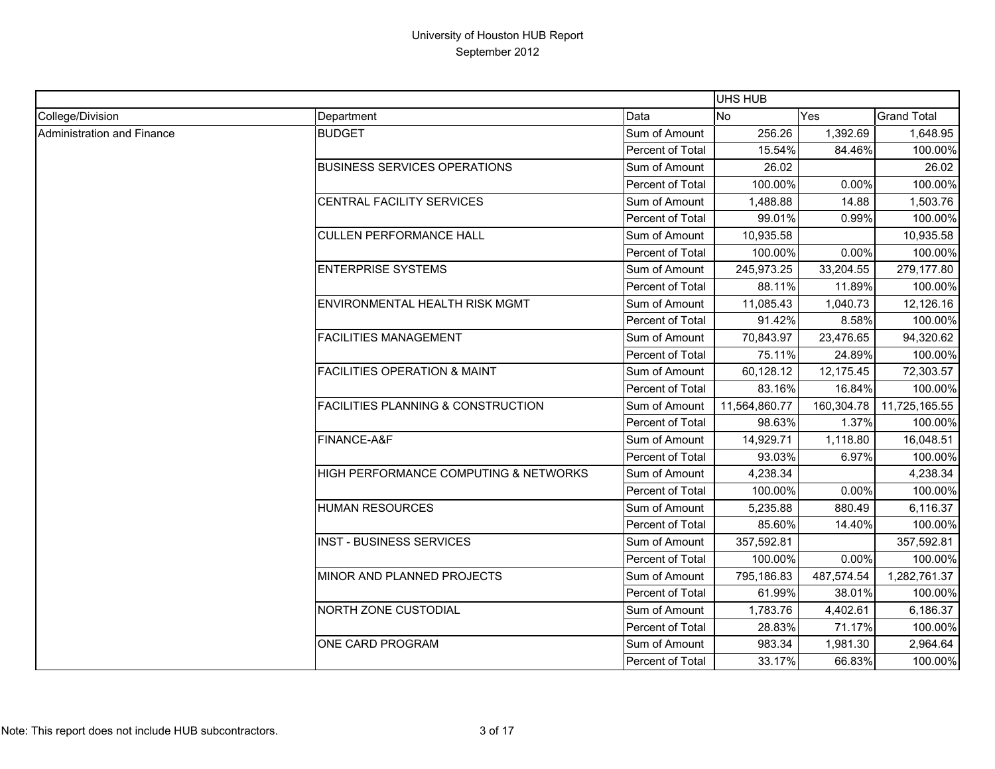|                            |                                               |                  | UHS HUB       |            |                    |
|----------------------------|-----------------------------------------------|------------------|---------------|------------|--------------------|
| College/Division           | Department                                    | Data             | No            | Yes        | <b>Grand Total</b> |
| Administration and Finance | <b>BUDGET</b>                                 | Sum of Amount    | 256.26        | 1,392.69   | 1,648.95           |
|                            |                                               | Percent of Total | 15.54%        | 84.46%     | 100.00%            |
|                            | <b>BUSINESS SERVICES OPERATIONS</b>           | Sum of Amount    | 26.02         |            | 26.02              |
|                            |                                               | Percent of Total | 100.00%       | 0.00%      | 100.00%            |
|                            | CENTRAL FACILITY SERVICES                     | Sum of Amount    | 1,488.88      | 14.88      | 1,503.76           |
|                            |                                               | Percent of Total | 99.01%        | 0.99%      | 100.00%            |
|                            | <b>CULLEN PERFORMANCE HALL</b>                | Sum of Amount    | 10,935.58     |            | 10,935.58          |
|                            |                                               | Percent of Total | 100.00%       | 0.00%      | 100.00%            |
|                            | <b>ENTERPRISE SYSTEMS</b>                     | Sum of Amount    | 245,973.25    | 33,204.55  | 279,177.80         |
|                            |                                               | Percent of Total | 88.11%        | 11.89%     | 100.00%            |
|                            | ENVIRONMENTAL HEALTH RISK MGMT                | Sum of Amount    | 11,085.43     | 1,040.73   | 12,126.16          |
|                            |                                               | Percent of Total | 91.42%        | 8.58%      | 100.00%            |
|                            | <b>FACILITIES MANAGEMENT</b>                  | Sum of Amount    | 70,843.97     | 23,476.65  | 94,320.62          |
|                            |                                               | Percent of Total | 75.11%        | 24.89%     | 100.00%            |
|                            | <b>FACILITIES OPERATION &amp; MAINT</b>       | Sum of Amount    | 60,128.12     | 12,175.45  | 72,303.57          |
|                            |                                               | Percent of Total | 83.16%        | 16.84%     | 100.00%            |
|                            | <b>FACILITIES PLANNING &amp; CONSTRUCTION</b> | Sum of Amount    | 11,564,860.77 | 160,304.78 | 11,725,165.55      |
|                            |                                               | Percent of Total | 98.63%        | 1.37%      | 100.00%            |
|                            | FINANCE-A&F                                   | Sum of Amount    | 14,929.71     | 1,118.80   | 16,048.51          |
|                            |                                               | Percent of Total | 93.03%        | 6.97%      | 100.00%            |
|                            | HIGH PERFORMANCE COMPUTING & NETWORKS         | Sum of Amount    | 4,238.34      |            | 4,238.34           |
|                            |                                               | Percent of Total | 100.00%       | 0.00%      | 100.00%            |
|                            | <b>HUMAN RESOURCES</b>                        | Sum of Amount    | 5,235.88      | 880.49     | 6,116.37           |
|                            |                                               | Percent of Total | 85.60%        | 14.40%     | 100.00%            |
|                            | <b>INST - BUSINESS SERVICES</b>               | Sum of Amount    | 357,592.81    |            | 357,592.81         |
|                            |                                               | Percent of Total | 100.00%       | 0.00%      | 100.00%            |
|                            | MINOR AND PLANNED PROJECTS                    | Sum of Amount    | 795,186.83    | 487,574.54 | 1,282,761.37       |
|                            |                                               | Percent of Total | 61.99%        | 38.01%     | 100.00%            |
|                            | NORTH ZONE CUSTODIAL                          | Sum of Amount    | 1,783.76      | 4,402.61   | 6,186.37           |
|                            |                                               | Percent of Total | 28.83%        | 71.17%     | 100.00%            |
|                            | ONE CARD PROGRAM                              | Sum of Amount    | 983.34        | 1,981.30   | 2,964.64           |
|                            |                                               | Percent of Total | 33.17%        | 66.83%     | 100.00%            |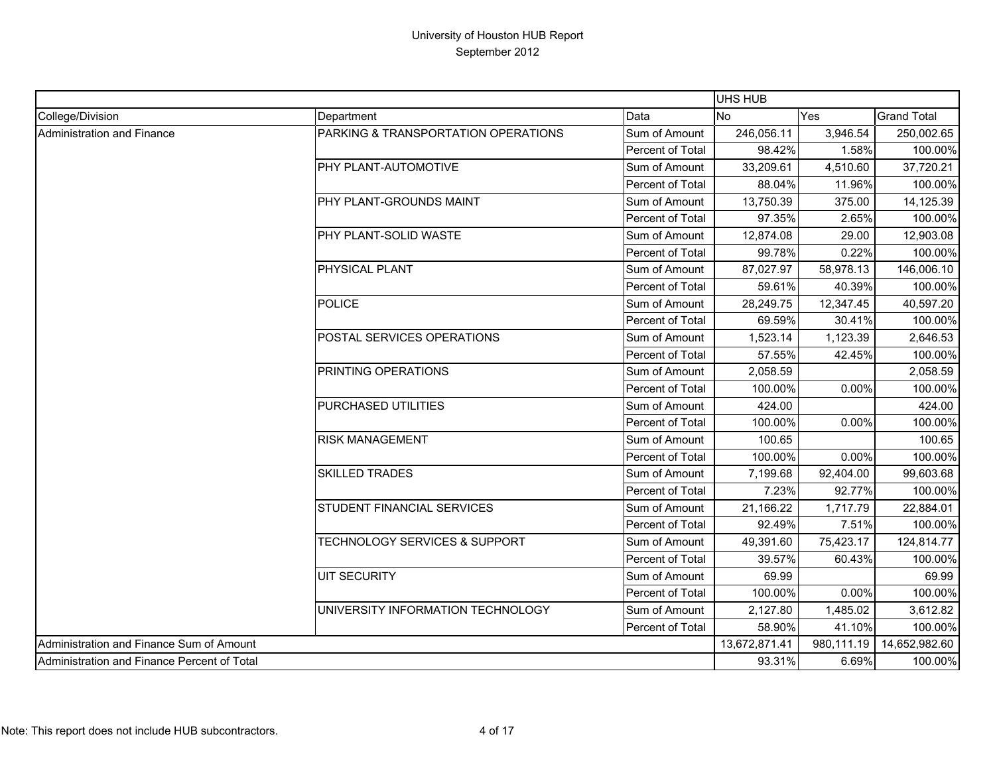|                                             |                                     |                  | UHS HUB       |            |                    |
|---------------------------------------------|-------------------------------------|------------------|---------------|------------|--------------------|
| College/Division                            | Department                          | Data             | <b>No</b>     | <b>Yes</b> | <b>Grand Total</b> |
| Administration and Finance                  | PARKING & TRANSPORTATION OPERATIONS | Sum of Amount    | 246,056.11    | 3,946.54   | 250,002.65         |
|                                             |                                     | Percent of Total | 98.42%        | 1.58%      | 100.00%            |
|                                             | PHY PLANT-AUTOMOTIVE                | Sum of Amount    | 33,209.61     | 4,510.60   | 37,720.21          |
|                                             |                                     | Percent of Total | 88.04%        | 11.96%     | 100.00%            |
|                                             | PHY PLANT-GROUNDS MAINT             | Sum of Amount    | 13,750.39     | 375.00     | 14,125.39          |
|                                             |                                     | Percent of Total | 97.35%        | 2.65%      | 100.00%            |
|                                             | PHY PLANT-SOLID WASTE               | Sum of Amount    | 12,874.08     | 29.00      | 12,903.08          |
|                                             |                                     | Percent of Total | 99.78%        | 0.22%      | 100.00%            |
|                                             | PHYSICAL PLANT                      | Sum of Amount    | 87,027.97     | 58,978.13  | 146,006.10         |
|                                             |                                     | Percent of Total | 59.61%        | 40.39%     | 100.00%            |
|                                             | <b>POLICE</b>                       | Sum of Amount    | 28,249.75     | 12,347.45  | 40,597.20          |
|                                             |                                     | Percent of Total | 69.59%        | 30.41%     | 100.00%            |
|                                             | POSTAL SERVICES OPERATIONS          | Sum of Amount    | 1,523.14      | 1,123.39   | 2,646.53           |
|                                             |                                     | Percent of Total | 57.55%        | 42.45%     | 100.00%            |
|                                             | PRINTING OPERATIONS                 | Sum of Amount    | 2,058.59      |            | 2,058.59           |
|                                             |                                     | Percent of Total | 100.00%       | 0.00%      | 100.00%            |
|                                             | PURCHASED UTILITIES                 | Sum of Amount    | 424.00        |            | 424.00             |
|                                             |                                     | Percent of Total | 100.00%       | 0.00%      | 100.00%            |
|                                             | <b>RISK MANAGEMENT</b>              | Sum of Amount    | 100.65        |            | 100.65             |
|                                             |                                     | Percent of Total | 100.00%       | 0.00%      | 100.00%            |
|                                             | <b>SKILLED TRADES</b>               | Sum of Amount    | 7,199.68      | 92,404.00  | 99,603.68          |
|                                             |                                     | Percent of Total | 7.23%         | 92.77%     | 100.00%            |
|                                             | STUDENT FINANCIAL SERVICES          | Sum of Amount    | 21,166.22     | 1,717.79   | 22,884.01          |
|                                             |                                     | Percent of Total | 92.49%        | 7.51%      | 100.00%            |
|                                             | TECHNOLOGY SERVICES & SUPPORT       | Sum of Amount    | 49,391.60     | 75,423.17  | 124,814.77         |
|                                             |                                     | Percent of Total | 39.57%        | 60.43%     | 100.00%            |
|                                             | <b>UIT SECURITY</b>                 | Sum of Amount    | 69.99         |            | 69.99              |
|                                             |                                     | Percent of Total | 100.00%       | 0.00%      | 100.00%            |
|                                             | UNIVERSITY INFORMATION TECHNOLOGY   | Sum of Amount    | 2,127.80      | 1,485.02   | 3,612.82           |
|                                             |                                     | Percent of Total | 58.90%        | 41.10%     | 100.00%            |
| Administration and Finance Sum of Amount    |                                     |                  | 13,672,871.41 | 980,111.19 | 14,652,982.60      |
| Administration and Finance Percent of Total |                                     |                  | 93.31%        | 6.69%      | 100.00%            |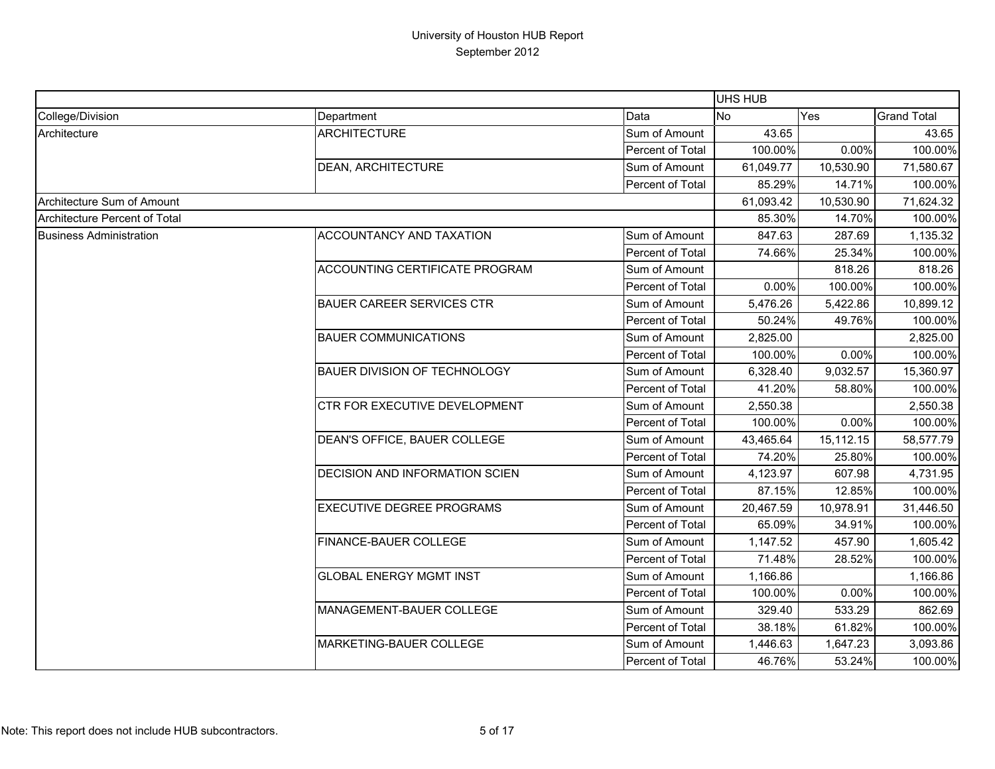|                                |                                  |                  | <b>UHS HUB</b> |           |                    |
|--------------------------------|----------------------------------|------------------|----------------|-----------|--------------------|
| College/Division               | Department                       | Data             | <b>No</b>      | Yes       | <b>Grand Total</b> |
| Architecture                   | <b>ARCHITECTURE</b>              | Sum of Amount    | 43.65          |           | 43.65              |
|                                |                                  | Percent of Total | 100.00%        | 0.00%     | 100.00%            |
|                                | DEAN, ARCHITECTURE               | Sum of Amount    | 61,049.77      | 10,530.90 | 71,580.67          |
|                                |                                  | Percent of Total | 85.29%         | 14.71%    | 100.00%            |
| Architecture Sum of Amount     |                                  |                  | 61,093.42      | 10,530.90 | 71,624.32          |
| Architecture Percent of Total  |                                  |                  | 85.30%         | 14.70%    | 100.00%            |
| <b>Business Administration</b> | ACCOUNTANCY AND TAXATION         | Sum of Amount    | 847.63         | 287.69    | 1,135.32           |
|                                |                                  | Percent of Total | 74.66%         | 25.34%    | 100.00%            |
|                                | ACCOUNTING CERTIFICATE PROGRAM   | Sum of Amount    |                | 818.26    | 818.26             |
|                                |                                  | Percent of Total | 0.00%          | 100.00%   | 100.00%            |
|                                | <b>BAUER CAREER SERVICES CTR</b> | Sum of Amount    | 5,476.26       | 5,422.86  | 10,899.12          |
|                                |                                  | Percent of Total | 50.24%         | 49.76%    | 100.00%            |
|                                | <b>BAUER COMMUNICATIONS</b>      | Sum of Amount    | 2,825.00       |           | 2,825.00           |
|                                |                                  | Percent of Total | 100.00%        | 0.00%     | 100.00%            |
|                                | BAUER DIVISION OF TECHNOLOGY     | Sum of Amount    | 6,328.40       | 9,032.57  | 15,360.97          |
|                                |                                  | Percent of Total | 41.20%         | 58.80%    | 100.00%            |
|                                | CTR FOR EXECUTIVE DEVELOPMENT    | Sum of Amount    | 2,550.38       |           | 2,550.38           |
|                                |                                  | Percent of Total | 100.00%        | 0.00%     | 100.00%            |
|                                | DEAN'S OFFICE, BAUER COLLEGE     | Sum of Amount    | 43,465.64      | 15,112.15 | 58,577.79          |
|                                |                                  | Percent of Total | 74.20%         | 25.80%    | 100.00%            |
|                                | DECISION AND INFORMATION SCIEN   | Sum of Amount    | 4,123.97       | 607.98    | 4,731.95           |
|                                |                                  | Percent of Total | 87.15%         | 12.85%    | 100.00%            |
|                                | <b>EXECUTIVE DEGREE PROGRAMS</b> | Sum of Amount    | 20,467.59      | 10,978.91 | 31,446.50          |
|                                |                                  | Percent of Total | 65.09%         | 34.91%    | 100.00%            |
|                                | FINANCE-BAUER COLLEGE            | Sum of Amount    | 1,147.52       | 457.90    | 1,605.42           |
|                                |                                  | Percent of Total | 71.48%         | 28.52%    | 100.00%            |
|                                | <b>GLOBAL ENERGY MGMT INST</b>   | Sum of Amount    | 1,166.86       |           | 1,166.86           |
|                                |                                  | Percent of Total | 100.00%        | 0.00%     | 100.00%            |
|                                | MANAGEMENT-BAUER COLLEGE         | Sum of Amount    | 329.40         | 533.29    | 862.69             |
|                                |                                  | Percent of Total | 38.18%         | 61.82%    | 100.00%            |
|                                | MARKETING-BAUER COLLEGE          | Sum of Amount    | 1,446.63       | 1,647.23  | 3,093.86           |
|                                |                                  | Percent of Total | 46.76%         | 53.24%    | 100.00%            |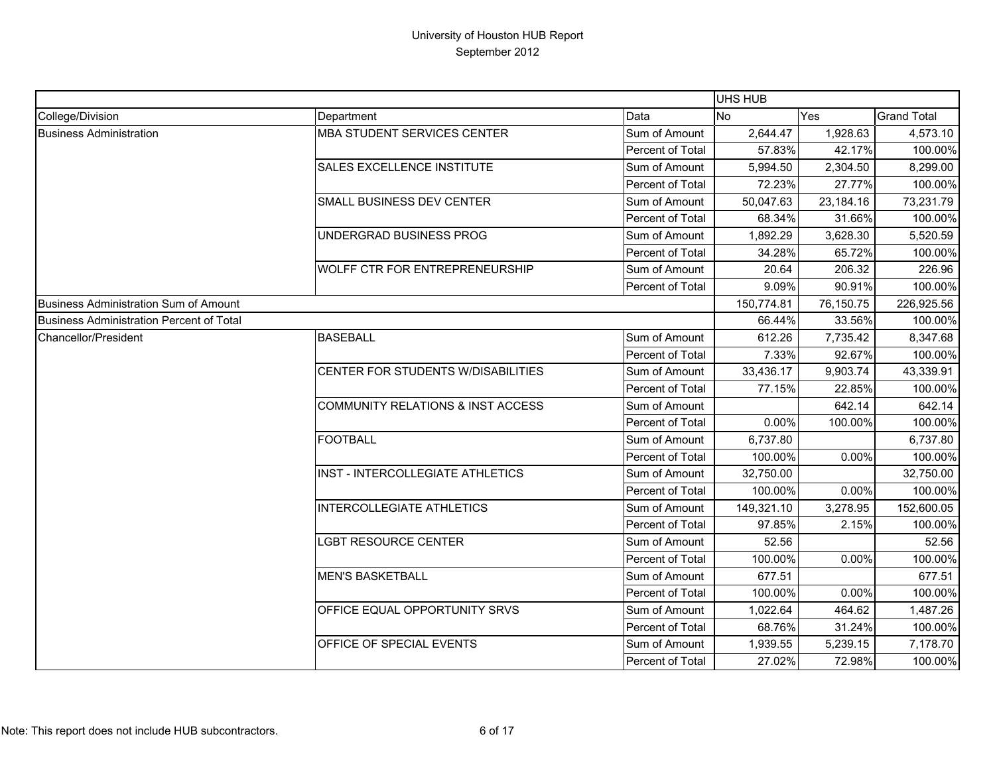|                                                 |                                              |                         | <b>UHS HUB</b> |           |                    |
|-------------------------------------------------|----------------------------------------------|-------------------------|----------------|-----------|--------------------|
| College/Division                                | Department                                   | Data                    | <b>No</b>      | Yes       | <b>Grand Total</b> |
| <b>Business Administration</b>                  | <b>MBA STUDENT SERVICES CENTER</b>           | Sum of Amount           | 2,644.47       | 1,928.63  | 4,573.10           |
|                                                 |                                              | Percent of Total        | 57.83%         | 42.17%    | 100.00%            |
|                                                 | SALES EXCELLENCE INSTITUTE                   | Sum of Amount           | 5,994.50       | 2,304.50  | 8,299.00           |
|                                                 |                                              | Percent of Total        | 72.23%         | 27.77%    | 100.00%            |
|                                                 | SMALL BUSINESS DEV CENTER                    | Sum of Amount           | 50,047.63      | 23,184.16 | 73,231.79          |
|                                                 |                                              | Percent of Total        | 68.34%         | 31.66%    | 100.00%            |
|                                                 | UNDERGRAD BUSINESS PROG                      | Sum of Amount           | 1,892.29       | 3,628.30  | 5,520.59           |
|                                                 |                                              | Percent of Total        | 34.28%         | 65.72%    | 100.00%            |
|                                                 | WOLFF CTR FOR ENTREPRENEURSHIP               | Sum of Amount           | 20.64          | 206.32    | 226.96             |
|                                                 |                                              | Percent of Total        | 9.09%          | 90.91%    | 100.00%            |
| <b>Business Administration Sum of Amount</b>    |                                              |                         | 150,774.81     | 76,150.75 | 226,925.56         |
| <b>Business Administration Percent of Total</b> |                                              |                         | 66.44%         | 33.56%    | 100.00%            |
| Chancellor/President                            | <b>BASEBALL</b>                              | Sum of Amount           | 612.26         | 7,735.42  | 8,347.68           |
|                                                 |                                              | Percent of Total        | 7.33%          | 92.67%    | 100.00%            |
|                                                 | CENTER FOR STUDENTS W/DISABILITIES           | Sum of Amount           | 33,436.17      | 9,903.74  | 43,339.91          |
|                                                 |                                              | Percent of Total        | 77.15%         | 22.85%    | 100.00%            |
|                                                 | <b>COMMUNITY RELATIONS &amp; INST ACCESS</b> | Sum of Amount           |                | 642.14    | 642.14             |
|                                                 |                                              | Percent of Total        | 0.00%          | 100.00%   | 100.00%            |
|                                                 | <b>FOOTBALL</b>                              | Sum of Amount           | 6,737.80       |           | 6,737.80           |
|                                                 |                                              | Percent of Total        | 100.00%        | 0.00%     | 100.00%            |
|                                                 | INST - INTERCOLLEGIATE ATHLETICS             | Sum of Amount           | 32,750.00      |           | 32,750.00          |
|                                                 |                                              | Percent of Total        | 100.00%        | 0.00%     | 100.00%            |
|                                                 | <b>INTERCOLLEGIATE ATHLETICS</b>             | Sum of Amount           | 149,321.10     | 3,278.95  | 152,600.05         |
|                                                 |                                              | Percent of Total        | 97.85%         | 2.15%     | 100.00%            |
|                                                 | LGBT RESOURCE CENTER                         | Sum of Amount           | 52.56          |           | 52.56              |
|                                                 |                                              | <b>Percent of Total</b> | 100.00%        | 0.00%     | 100.00%            |
|                                                 | <b>MEN'S BASKETBALL</b>                      | Sum of Amount           | 677.51         |           | 677.51             |
|                                                 |                                              | Percent of Total        | 100.00%        | 0.00%     | 100.00%            |
|                                                 | OFFICE EQUAL OPPORTUNITY SRVS                | Sum of Amount           | 1,022.64       | 464.62    | 1,487.26           |
|                                                 |                                              | Percent of Total        | 68.76%         | 31.24%    | 100.00%            |
|                                                 | OFFICE OF SPECIAL EVENTS                     | Sum of Amount           | 1,939.55       | 5,239.15  | 7,178.70           |
|                                                 |                                              | Percent of Total        | 27.02%         | 72.98%    | 100.00%            |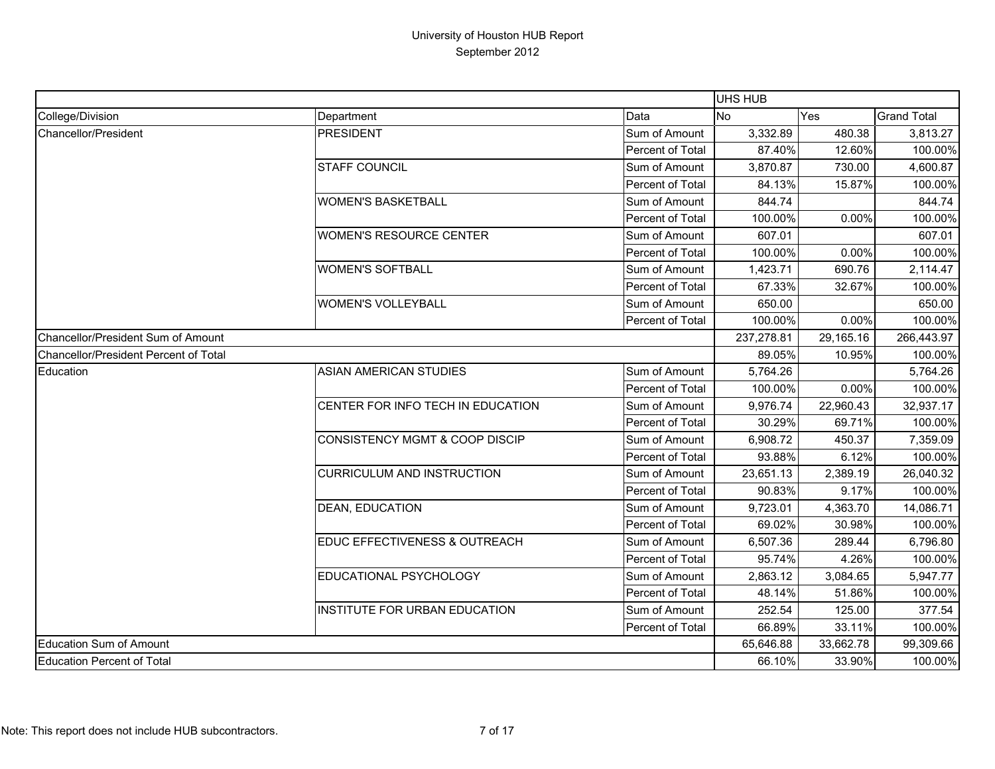|                                       |                                          |                  | <b>UHS HUB</b> |           |                    |
|---------------------------------------|------------------------------------------|------------------|----------------|-----------|--------------------|
| College/Division                      | Department                               | Data             | <b>No</b>      | Yes       | <b>Grand Total</b> |
| Chancellor/President                  | <b>PRESIDENT</b>                         | Sum of Amount    | 3,332.89       | 480.38    | 3,813.27           |
|                                       |                                          | Percent of Total | 87.40%         | 12.60%    | 100.00%            |
|                                       | <b>STAFF COUNCIL</b>                     | Sum of Amount    | 3,870.87       | 730.00    | 4,600.87           |
|                                       |                                          | Percent of Total | 84.13%         | 15.87%    | 100.00%            |
|                                       | <b>WOMEN'S BASKETBALL</b>                | Sum of Amount    | 844.74         |           | 844.74             |
|                                       |                                          | Percent of Total | 100.00%        | 0.00%     | 100.00%            |
|                                       | <b>WOMEN'S RESOURCE CENTER</b>           | Sum of Amount    | 607.01         |           | 607.01             |
|                                       |                                          | Percent of Total | 100.00%        | 0.00%     | 100.00%            |
|                                       | <b>WOMEN'S SOFTBALL</b>                  | Sum of Amount    | 1,423.71       | 690.76    | 2,114.47           |
|                                       |                                          | Percent of Total | 67.33%         | 32.67%    | 100.00%            |
|                                       | <b>WOMEN'S VOLLEYBALL</b>                | Sum of Amount    | 650.00         |           | 650.00             |
|                                       |                                          | Percent of Total | 100.00%        | 0.00%     | 100.00%            |
| Chancellor/President Sum of Amount    |                                          |                  | 237,278.81     | 29,165.16 | 266,443.97         |
| Chancellor/President Percent of Total |                                          |                  | 89.05%         | 10.95%    | 100.00%            |
| Education                             | <b>ASIAN AMERICAN STUDIES</b>            | Sum of Amount    | 5,764.26       |           | 5,764.26           |
|                                       |                                          | Percent of Total | 100.00%        | 0.00%     | 100.00%            |
|                                       | CENTER FOR INFO TECH IN EDUCATION        | Sum of Amount    | 9,976.74       | 22,960.43 | 32,937.17          |
|                                       |                                          | Percent of Total | 30.29%         | 69.71%    | 100.00%            |
|                                       | CONSISTENCY MGMT & COOP DISCIP           | Sum of Amount    | 6,908.72       | 450.37    | 7,359.09           |
|                                       |                                          | Percent of Total | 93.88%         | 6.12%     | 100.00%            |
|                                       | <b>CURRICULUM AND INSTRUCTION</b>        | Sum of Amount    | 23,651.13      | 2,389.19  | 26,040.32          |
|                                       |                                          | Percent of Total | 90.83%         | 9.17%     | 100.00%            |
|                                       | <b>DEAN, EDUCATION</b>                   | Sum of Amount    | 9,723.01       | 4,363.70  | 14,086.71          |
|                                       |                                          | Percent of Total | 69.02%         | 30.98%    | 100.00%            |
|                                       | <b>EDUC EFFECTIVENESS &amp; OUTREACH</b> | Sum of Amount    | 6,507.36       | 289.44    | 6,796.80           |
|                                       |                                          | Percent of Total | 95.74%         | 4.26%     | 100.00%            |
|                                       | EDUCATIONAL PSYCHOLOGY                   | Sum of Amount    | 2,863.12       | 3,084.65  | 5,947.77           |
|                                       |                                          | Percent of Total | 48.14%         | 51.86%    | 100.00%            |
|                                       | INSTITUTE FOR URBAN EDUCATION            | Sum of Amount    | 252.54         | 125.00    | 377.54             |
|                                       |                                          | Percent of Total | 66.89%         | 33.11%    | 100.00%            |
| Education Sum of Amount               |                                          |                  | 65,646.88      | 33,662.78 | 99,309.66          |
| <b>Education Percent of Total</b>     |                                          |                  | 66.10%         | 33.90%    | 100.00%            |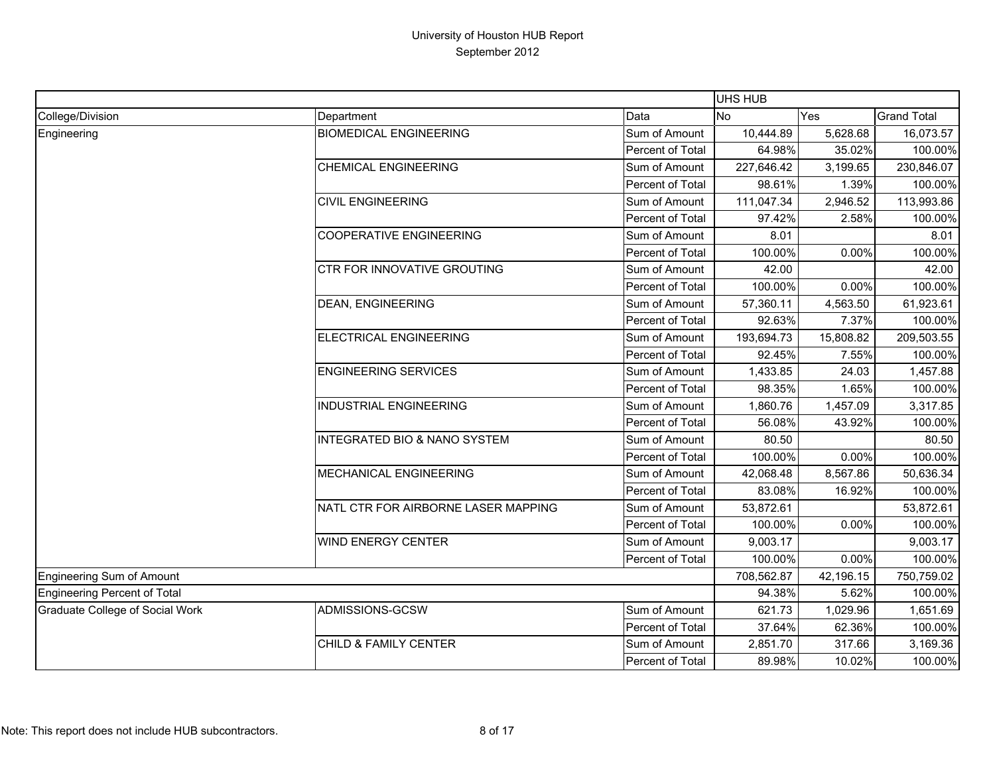|                                        |                                     |                  | UHS HUB    |           |                    |
|----------------------------------------|-------------------------------------|------------------|------------|-----------|--------------------|
| College/Division                       | Department                          | Data             | <b>No</b>  | Yes       | <b>Grand Total</b> |
| Engineering                            | <b>BIOMEDICAL ENGINEERING</b>       | Sum of Amount    | 10,444.89  | 5,628.68  | 16,073.57          |
|                                        |                                     | Percent of Total | 64.98%     | 35.02%    | 100.00%            |
|                                        | <b>CHEMICAL ENGINEERING</b>         | Sum of Amount    | 227,646.42 | 3,199.65  | 230,846.07         |
|                                        |                                     | Percent of Total | 98.61%     | 1.39%     | 100.00%            |
|                                        | <b>CIVIL ENGINEERING</b>            | Sum of Amount    | 111,047.34 | 2,946.52  | 113,993.86         |
|                                        |                                     | Percent of Total | 97.42%     | 2.58%     | 100.00%            |
|                                        | <b>COOPERATIVE ENGINEERING</b>      | Sum of Amount    | 8.01       |           | 8.01               |
|                                        |                                     | Percent of Total | 100.00%    | 0.00%     | 100.00%            |
|                                        | <b>CTR FOR INNOVATIVE GROUTING</b>  | Sum of Amount    | 42.00      |           | 42.00              |
|                                        |                                     | Percent of Total | 100.00%    | 0.00%     | 100.00%            |
|                                        | <b>DEAN, ENGINEERING</b>            | Sum of Amount    | 57,360.11  | 4,563.50  | 61,923.61          |
|                                        |                                     | Percent of Total | 92.63%     | 7.37%     | 100.00%            |
|                                        | ELECTRICAL ENGINEERING              | Sum of Amount    | 193,694.73 | 15,808.82 | 209,503.55         |
|                                        |                                     | Percent of Total | 92.45%     | 7.55%     | 100.00%            |
|                                        | <b>ENGINEERING SERVICES</b>         | Sum of Amount    | 1,433.85   | 24.03     | 1,457.88           |
|                                        |                                     | Percent of Total | 98.35%     | 1.65%     | 100.00%            |
|                                        | <b>INDUSTRIAL ENGINEERING</b>       | Sum of Amount    | 1,860.76   | 1,457.09  | 3,317.85           |
|                                        |                                     | Percent of Total | 56.08%     | 43.92%    | 100.00%            |
|                                        | INTEGRATED BIO & NANO SYSTEM        | Sum of Amount    | 80.50      |           | 80.50              |
|                                        |                                     | Percent of Total | 100.00%    | 0.00%     | 100.00%            |
|                                        | <b>MECHANICAL ENGINEERING</b>       | Sum of Amount    | 42,068.48  | 8,567.86  | 50,636.34          |
|                                        |                                     | Percent of Total | 83.08%     | 16.92%    | 100.00%            |
|                                        | NATL CTR FOR AIRBORNE LASER MAPPING | Sum of Amount    | 53,872.61  |           | 53,872.61          |
|                                        |                                     | Percent of Total | 100.00%    | 0.00%     | 100.00%            |
|                                        | <b>WIND ENERGY CENTER</b>           | Sum of Amount    | 9,003.17   |           | 9,003.17           |
|                                        |                                     | Percent of Total | 100.00%    | 0.00%     | 100.00%            |
| <b>Engineering Sum of Amount</b>       |                                     |                  | 708,562.87 | 42,196.15 | 750,759.02         |
| <b>Engineering Percent of Total</b>    |                                     |                  | 94.38%     | 5.62%     | 100.00%            |
| <b>Graduate College of Social Work</b> | ADMISSIONS-GCSW                     | Sum of Amount    | 621.73     | 1,029.96  | 1,651.69           |
|                                        |                                     | Percent of Total | 37.64%     | 62.36%    | 100.00%            |
|                                        | CHILD & FAMILY CENTER               | Sum of Amount    | 2,851.70   | 317.66    | 3,169.36           |
|                                        |                                     | Percent of Total | 89.98%     | 10.02%    | 100.00%            |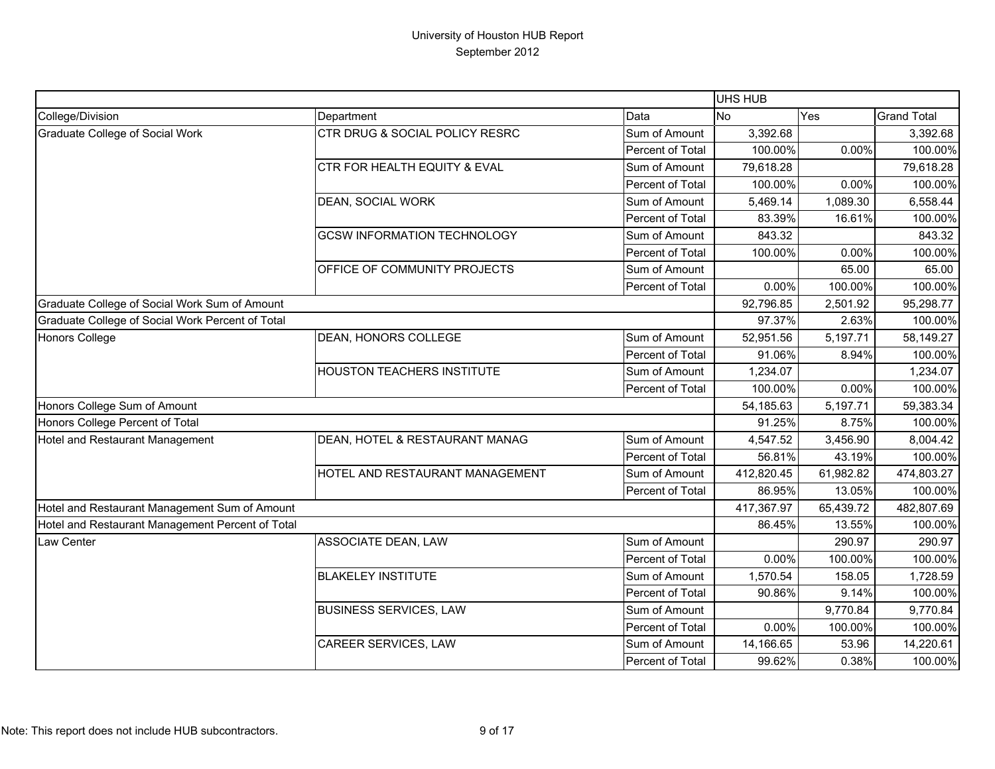|                                                  |                                    |                  | UHS HUB    |           |                    |
|--------------------------------------------------|------------------------------------|------------------|------------|-----------|--------------------|
| College/Division                                 | Department                         | Data             | No         | Yes       | <b>Grand Total</b> |
| <b>Graduate College of Social Work</b>           | CTR DRUG & SOCIAL POLICY RESRC     | Sum of Amount    | 3,392.68   |           | 3,392.68           |
|                                                  |                                    | Percent of Total | 100.00%    | 0.00%     | 100.00%            |
|                                                  | CTR FOR HEALTH EQUITY & EVAL       | Sum of Amount    | 79,618.28  |           | 79,618.28          |
|                                                  |                                    | Percent of Total | 100.00%    | 0.00%     | 100.00%            |
|                                                  | DEAN, SOCIAL WORK                  | Sum of Amount    | 5,469.14   | 1,089.30  | 6,558.44           |
|                                                  |                                    | Percent of Total | 83.39%     | 16.61%    | 100.00%            |
|                                                  | <b>GCSW INFORMATION TECHNOLOGY</b> | Sum of Amount    | 843.32     |           | 843.32             |
|                                                  |                                    | Percent of Total | 100.00%    | 0.00%     | 100.00%            |
|                                                  | OFFICE OF COMMUNITY PROJECTS       | Sum of Amount    |            | 65.00     | 65.00              |
|                                                  |                                    | Percent of Total | 0.00%      | 100.00%   | 100.00%            |
| Graduate College of Social Work Sum of Amount    |                                    |                  | 92,796.85  | 2,501.92  | 95,298.77          |
| Graduate College of Social Work Percent of Total |                                    |                  | 97.37%     | 2.63%     | 100.00%            |
| Honors College                                   | <b>DEAN, HONORS COLLEGE</b>        | Sum of Amount    | 52,951.56  | 5,197.71  | 58,149.27          |
|                                                  |                                    | Percent of Total | 91.06%     | 8.94%     | 100.00%            |
|                                                  | <b>HOUSTON TEACHERS INSTITUTE</b>  | Sum of Amount    | 1,234.07   |           | 1,234.07           |
|                                                  |                                    | Percent of Total | 100.00%    | 0.00%     | 100.00%            |
| Honors College Sum of Amount                     |                                    |                  | 54,185.63  | 5,197.71  | 59,383.34          |
| Honors College Percent of Total                  |                                    |                  | 91.25%     | 8.75%     | 100.00%            |
| Hotel and Restaurant Management                  | DEAN, HOTEL & RESTAURANT MANAG     | Sum of Amount    | 4,547.52   | 3,456.90  | 8,004.42           |
|                                                  |                                    | Percent of Total | 56.81%     | 43.19%    | 100.00%            |
|                                                  | HOTEL AND RESTAURANT MANAGEMENT    | Sum of Amount    | 412,820.45 | 61,982.82 | 474,803.27         |
|                                                  |                                    | Percent of Total | 86.95%     | 13.05%    | 100.00%            |
| Hotel and Restaurant Management Sum of Amount    |                                    |                  | 417,367.97 | 65,439.72 | 482,807.69         |
| Hotel and Restaurant Management Percent of Total |                                    |                  | 86.45%     | 13.55%    | 100.00%            |
| Law Center                                       | ASSOCIATE DEAN, LAW                | Sum of Amount    |            | 290.97    | 290.97             |
|                                                  |                                    | Percent of Total | 0.00%      | 100.00%   | 100.00%            |
|                                                  | <b>BLAKELEY INSTITUTE</b>          | Sum of Amount    | 1,570.54   | 158.05    | 1,728.59           |
|                                                  |                                    | Percent of Total | 90.86%     | 9.14%     | 100.00%            |
|                                                  | <b>BUSINESS SERVICES, LAW</b>      | Sum of Amount    |            | 9,770.84  | 9,770.84           |
|                                                  |                                    | Percent of Total | 0.00%      | 100.00%   | 100.00%            |
|                                                  | CAREER SERVICES, LAW               | Sum of Amount    | 14,166.65  | 53.96     | 14,220.61          |
|                                                  |                                    | Percent of Total | 99.62%     | 0.38%     | 100.00%            |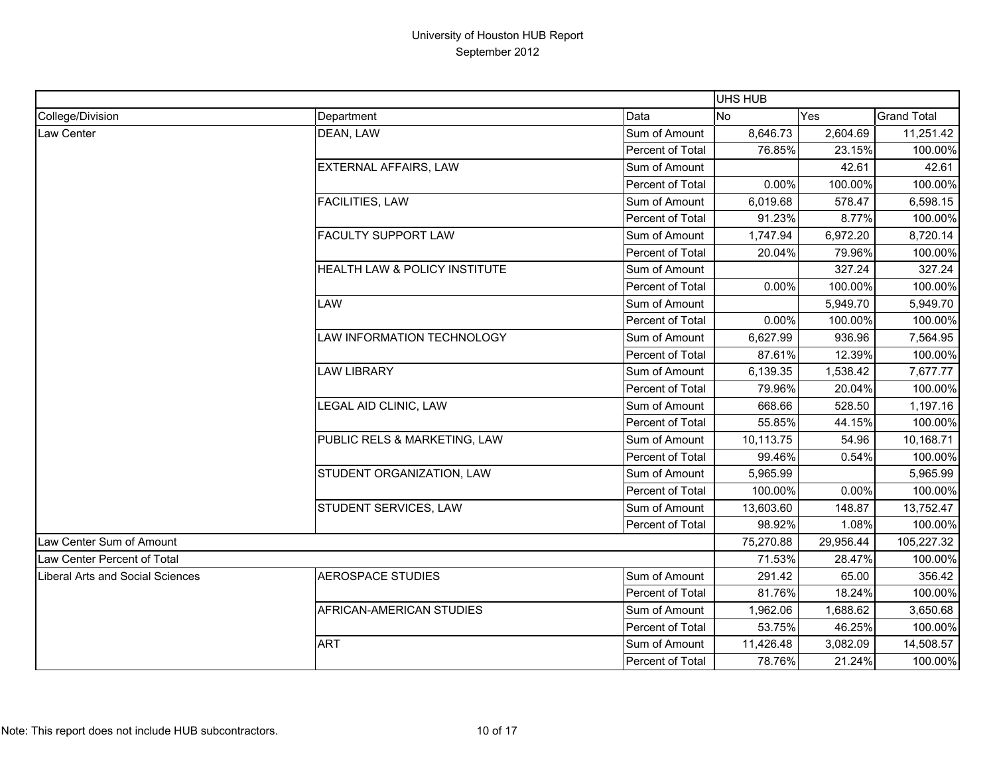|                                  |                               |                         | UHS HUB   |           |                    |
|----------------------------------|-------------------------------|-------------------------|-----------|-----------|--------------------|
| College/Division                 | Department                    | Data                    | <b>No</b> | Yes       | <b>Grand Total</b> |
| Law Center                       | DEAN, LAW                     | Sum of Amount           | 8,646.73  | 2,604.69  | 11,251.42          |
|                                  |                               | Percent of Total        | 76.85%    | 23.15%    | 100.00%            |
|                                  | <b>EXTERNAL AFFAIRS, LAW</b>  | Sum of Amount           |           | 42.61     | 42.61              |
|                                  |                               | Percent of Total        | 0.00%     | 100.00%   | 100.00%            |
|                                  | <b>FACILITIES, LAW</b>        | Sum of Amount           | 6,019.68  | 578.47    | 6,598.15           |
|                                  |                               | Percent of Total        | 91.23%    | 8.77%     | 100.00%            |
|                                  | <b>FACULTY SUPPORT LAW</b>    | Sum of Amount           | 1,747.94  | 6,972.20  | 8,720.14           |
|                                  |                               | Percent of Total        | 20.04%    | 79.96%    | 100.00%            |
|                                  | HEALTH LAW & POLICY INSTITUTE | Sum of Amount           |           | 327.24    | 327.24             |
|                                  |                               | Percent of Total        | $0.00\%$  | 100.00%   | 100.00%            |
|                                  | LAW                           | Sum of Amount           |           | 5,949.70  | 5,949.70           |
|                                  |                               | Percent of Total        | 0.00%     | 100.00%   | 100.00%            |
|                                  | LAW INFORMATION TECHNOLOGY    | Sum of Amount           | 6,627.99  | 936.96    | 7,564.95           |
|                                  |                               | Percent of Total        | 87.61%    | 12.39%    | 100.00%            |
|                                  | <b>LAW LIBRARY</b>            | Sum of Amount           | 6,139.35  | 1,538.42  | 7,677.77           |
|                                  |                               | Percent of Total        | 79.96%    | 20.04%    | 100.00%            |
|                                  | LEGAL AID CLINIC, LAW         | Sum of Amount           | 668.66    | 528.50    | 1,197.16           |
|                                  |                               | Percent of Total        | 55.85%    | 44.15%    | 100.00%            |
|                                  | PUBLIC RELS & MARKETING, LAW  | Sum of Amount           | 10,113.75 | 54.96     | 10,168.71          |
|                                  |                               | Percent of Total        | 99.46%    | 0.54%     | 100.00%            |
|                                  | STUDENT ORGANIZATION, LAW     | Sum of Amount           | 5,965.99  |           | 5,965.99           |
|                                  |                               | Percent of Total        | 100.00%   | 0.00%     | 100.00%            |
|                                  | STUDENT SERVICES, LAW         | Sum of Amount           | 13,603.60 | 148.87    | 13,752.47          |
|                                  |                               | Percent of Total        | 98.92%    | 1.08%     | 100.00%            |
| Law Center Sum of Amount         |                               |                         | 75,270.88 | 29,956.44 | 105,227.32         |
| Law Center Percent of Total      |                               |                         | 71.53%    | 28.47%    | 100.00%            |
| Liberal Arts and Social Sciences | <b>AEROSPACE STUDIES</b>      | Sum of Amount           | 291.42    | 65.00     | 356.42             |
|                                  |                               | Percent of Total        | 81.76%    | 18.24%    | 100.00%            |
|                                  | AFRICAN-AMERICAN STUDIES      | Sum of Amount           | 1,962.06  | 1,688.62  | 3,650.68           |
|                                  |                               | Percent of Total        | 53.75%    | 46.25%    | 100.00%            |
|                                  | <b>ART</b>                    | Sum of Amount           | 11,426.48 | 3,082.09  | 14,508.57          |
|                                  |                               | <b>Percent of Total</b> | 78.76%    | 21.24%    | 100.00%            |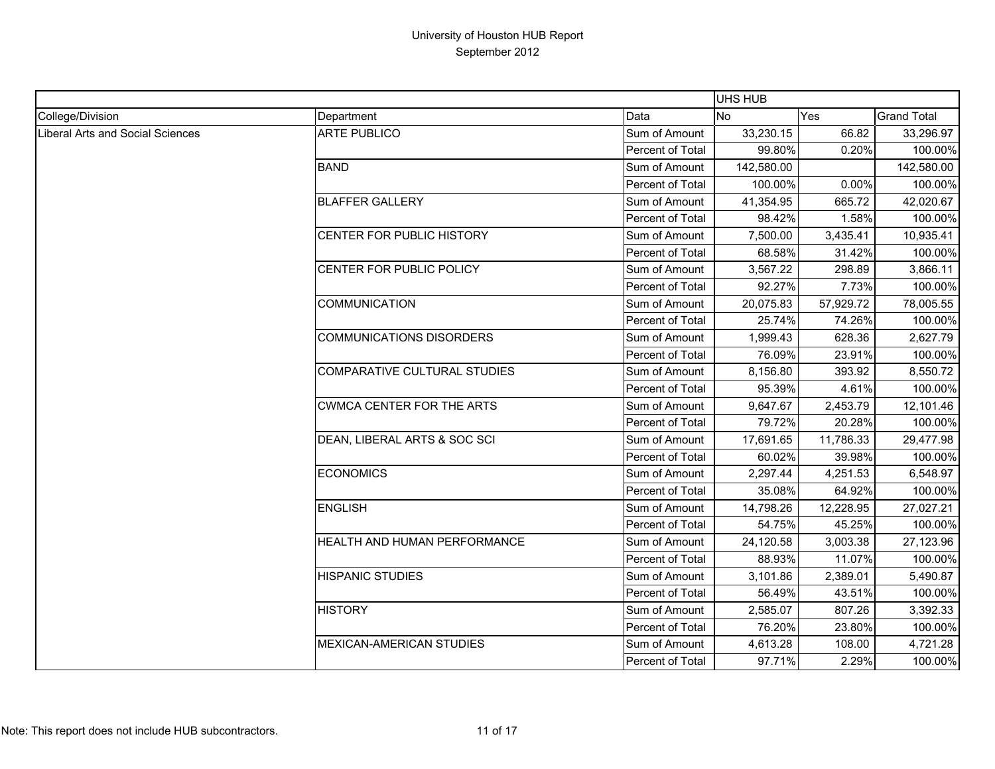|                                  |                                  |                  | <b>UHS HUB</b> |           |                    |
|----------------------------------|----------------------------------|------------------|----------------|-----------|--------------------|
| College/Division                 | Department                       | Data             | <b>No</b>      | Yes       | <b>Grand Total</b> |
| Liberal Arts and Social Sciences | <b>ARTE PUBLICO</b>              | Sum of Amount    | 33,230.15      | 66.82     | 33,296.97          |
|                                  |                                  | Percent of Total | 99.80%         | 0.20%     | 100.00%            |
|                                  | <b>BAND</b>                      | Sum of Amount    | 142,580.00     |           | 142,580.00         |
|                                  |                                  | Percent of Total | 100.00%        | 0.00%     | 100.00%            |
|                                  | <b>BLAFFER GALLERY</b>           | Sum of Amount    | 41,354.95      | 665.72    | 42,020.67          |
|                                  |                                  | Percent of Total | 98.42%         | 1.58%     | 100.00%            |
|                                  | CENTER FOR PUBLIC HISTORY        | Sum of Amount    | 7,500.00       | 3,435.41  | 10,935.41          |
|                                  |                                  | Percent of Total | 68.58%         | 31.42%    | 100.00%            |
|                                  | CENTER FOR PUBLIC POLICY         | Sum of Amount    | 3,567.22       | 298.89    | 3,866.11           |
|                                  |                                  | Percent of Total | 92.27%         | 7.73%     | 100.00%            |
|                                  | <b>COMMUNICATION</b>             | Sum of Amount    | 20,075.83      | 57,929.72 | 78,005.55          |
|                                  |                                  | Percent of Total | 25.74%         | 74.26%    | 100.00%            |
|                                  | <b>COMMUNICATIONS DISORDERS</b>  | Sum of Amount    | 1,999.43       | 628.36    | 2,627.79           |
|                                  |                                  | Percent of Total | 76.09%         | 23.91%    | 100.00%            |
|                                  | COMPARATIVE CULTURAL STUDIES     | Sum of Amount    | 8,156.80       | 393.92    | 8,550.72           |
|                                  |                                  | Percent of Total | 95.39%         | 4.61%     | 100.00%            |
|                                  | <b>CWMCA CENTER FOR THE ARTS</b> | Sum of Amount    | 9,647.67       | 2,453.79  | 12,101.46          |
|                                  |                                  | Percent of Total | 79.72%         | 20.28%    | 100.00%            |
|                                  | DEAN, LIBERAL ARTS & SOC SCI     | Sum of Amount    | 17,691.65      | 11,786.33 | 29,477.98          |
|                                  |                                  | Percent of Total | 60.02%         | 39.98%    | 100.00%            |
|                                  | <b>ECONOMICS</b>                 | Sum of Amount    | 2,297.44       | 4,251.53  | 6,548.97           |
|                                  |                                  | Percent of Total | 35.08%         | 64.92%    | 100.00%            |
|                                  | <b>ENGLISH</b>                   | Sum of Amount    | 14,798.26      | 12,228.95 | 27,027.21          |
|                                  |                                  | Percent of Total | 54.75%         | 45.25%    | 100.00%            |
|                                  | HEALTH AND HUMAN PERFORMANCE     | Sum of Amount    | 24,120.58      | 3,003.38  | 27,123.96          |
|                                  |                                  | Percent of Total | 88.93%         | 11.07%    | 100.00%            |
|                                  | <b>HISPANIC STUDIES</b>          | Sum of Amount    | 3,101.86       | 2,389.01  | 5,490.87           |
|                                  |                                  | Percent of Total | 56.49%         | 43.51%    | 100.00%            |
|                                  | <b>HISTORY</b>                   | Sum of Amount    | 2,585.07       | 807.26    | 3,392.33           |
|                                  |                                  | Percent of Total | 76.20%         | 23.80%    | 100.00%            |
|                                  | <b>MEXICAN-AMERICAN STUDIES</b>  | Sum of Amount    | 4,613.28       | 108.00    | 4,721.28           |
|                                  |                                  | Percent of Total | 97.71%         | 2.29%     | 100.00%            |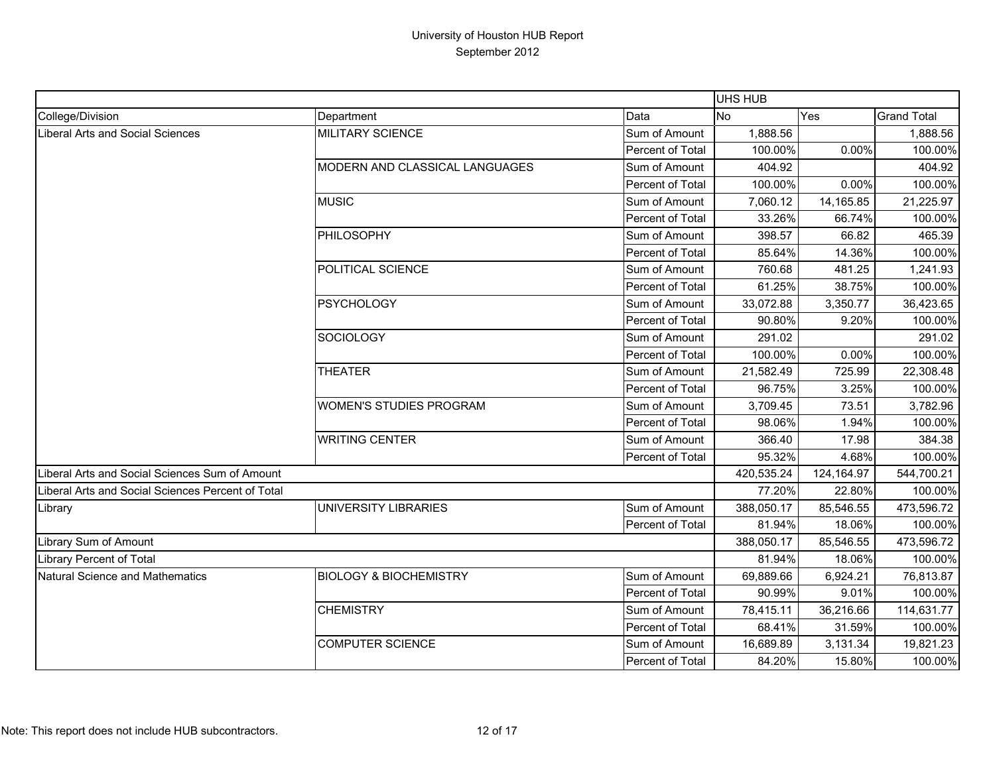|                                                   |                                   |                  | UHS HUB    |            |                    |
|---------------------------------------------------|-----------------------------------|------------------|------------|------------|--------------------|
| College/Division                                  | Department                        | Data             | <b>No</b>  | Yes        | <b>Grand Total</b> |
| Liberal Arts and Social Sciences                  | MILITARY SCIENCE                  | Sum of Amount    | 1,888.56   |            | 1,888.56           |
|                                                   |                                   | Percent of Total | 100.00%    | 0.00%      | 100.00%            |
|                                                   | MODERN AND CLASSICAL LANGUAGES    | Sum of Amount    | 404.92     |            | 404.92             |
|                                                   |                                   | Percent of Total | 100.00%    | 0.00%      | 100.00%            |
|                                                   | <b>MUSIC</b>                      | Sum of Amount    | 7,060.12   | 14,165.85  | 21,225.97          |
|                                                   |                                   | Percent of Total | 33.26%     | 66.74%     | 100.00%            |
|                                                   | <b>PHILOSOPHY</b>                 | Sum of Amount    | 398.57     | 66.82      | 465.39             |
|                                                   |                                   | Percent of Total | 85.64%     | 14.36%     | 100.00%            |
|                                                   | POLITICAL SCIENCE                 | Sum of Amount    | 760.68     | 481.25     | 1,241.93           |
|                                                   |                                   | Percent of Total | 61.25%     | 38.75%     | 100.00%            |
|                                                   | <b>PSYCHOLOGY</b>                 | Sum of Amount    | 33,072.88  | 3,350.77   | 36,423.65          |
|                                                   |                                   | Percent of Total | 90.80%     | 9.20%      | 100.00%            |
|                                                   | <b>SOCIOLOGY</b>                  | Sum of Amount    | 291.02     |            | 291.02             |
|                                                   |                                   | Percent of Total | 100.00%    | 0.00%      | 100.00%            |
|                                                   | <b>THEATER</b>                    | Sum of Amount    | 21,582.49  | 725.99     | 22,308.48          |
|                                                   |                                   | Percent of Total | 96.75%     | 3.25%      | 100.00%            |
|                                                   | <b>WOMEN'S STUDIES PROGRAM</b>    | Sum of Amount    | 3,709.45   | 73.51      | 3,782.96           |
|                                                   |                                   | Percent of Total | 98.06%     | 1.94%      | 100.00%            |
|                                                   | <b>WRITING CENTER</b>             | Sum of Amount    | 366.40     | 17.98      | 384.38             |
|                                                   |                                   | Percent of Total | 95.32%     | 4.68%      | 100.00%            |
| Liberal Arts and Social Sciences Sum of Amount    |                                   |                  | 420,535.24 | 124,164.97 | 544,700.21         |
| Liberal Arts and Social Sciences Percent of Total |                                   |                  | 77.20%     | 22.80%     | 100.00%            |
| Library                                           | UNIVERSITY LIBRARIES              | Sum of Amount    | 388,050.17 | 85,546.55  | 473,596.72         |
|                                                   |                                   | Percent of Total | 81.94%     | 18.06%     | 100.00%            |
| Library Sum of Amount                             |                                   |                  | 388,050.17 | 85,546.55  | 473,596.72         |
| Library Percent of Total                          |                                   |                  | 81.94%     | 18.06%     | 100.00%            |
| Natural Science and Mathematics                   | <b>BIOLOGY &amp; BIOCHEMISTRY</b> | Sum of Amount    | 69,889.66  | 6,924.21   | 76,813.87          |
|                                                   |                                   | Percent of Total | 90.99%     | 9.01%      | 100.00%            |
|                                                   | <b>CHEMISTRY</b>                  | Sum of Amount    | 78,415.11  | 36,216.66  | 114,631.77         |
|                                                   |                                   | Percent of Total | 68.41%     | 31.59%     | 100.00%            |
|                                                   | <b>COMPUTER SCIENCE</b>           | Sum of Amount    | 16,689.89  | 3,131.34   | 19,821.23          |
|                                                   |                                   | Percent of Total | 84.20%     | 15.80%     | 100.00%            |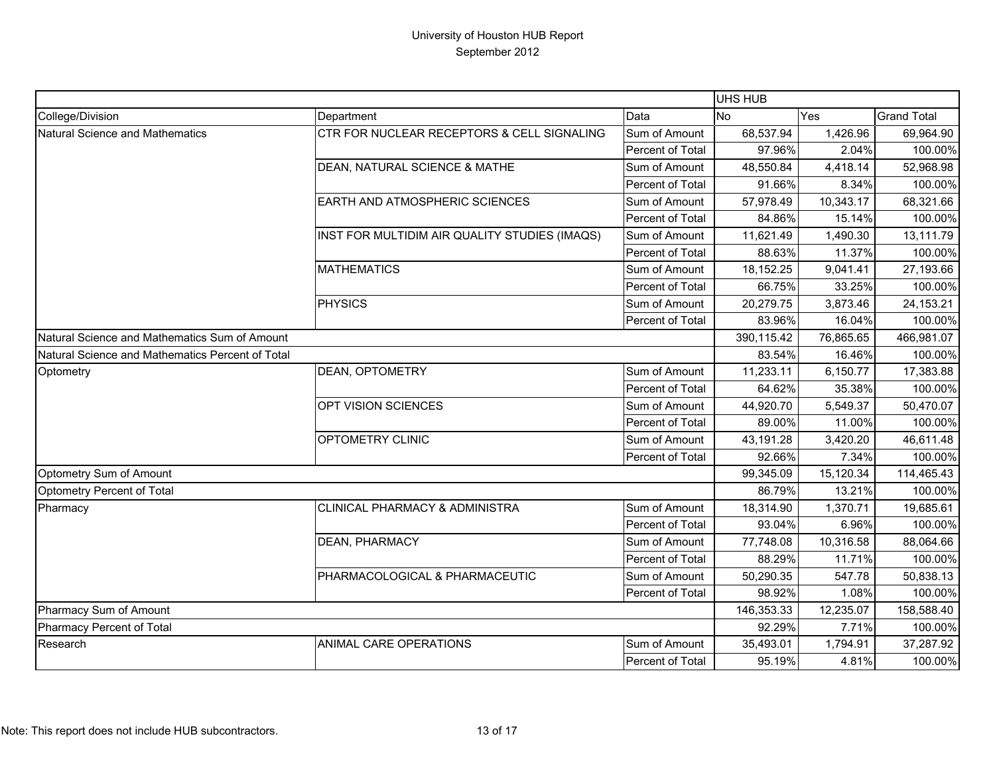|                                                  |                                               |                  | <b>UHS HUB</b> |            |                    |
|--------------------------------------------------|-----------------------------------------------|------------------|----------------|------------|--------------------|
| College/Division                                 | Department                                    | Data             | <b>No</b>      | Yes        | <b>Grand Total</b> |
| <b>Natural Science and Mathematics</b>           | CTR FOR NUCLEAR RECEPTORS & CELL SIGNALING    | Sum of Amount    | 68,537.94      | 1,426.96   | 69,964.90          |
|                                                  |                                               | Percent of Total | 97.96%         | 2.04%      | 100.00%            |
|                                                  | DEAN, NATURAL SCIENCE & MATHE                 | Sum of Amount    | 48,550.84      | 4,418.14   | 52,968.98          |
|                                                  |                                               | Percent of Total | 91.66%         | 8.34%      | 100.00%            |
|                                                  | EARTH AND ATMOSPHERIC SCIENCES                | Sum of Amount    | 57,978.49      | 10,343.17  | 68,321.66          |
|                                                  |                                               | Percent of Total | 84.86%         | 15.14%     | 100.00%            |
|                                                  | INST FOR MULTIDIM AIR QUALITY STUDIES (IMAQS) | Sum of Amount    | 11,621.49      | 1,490.30   | 13,111.79          |
|                                                  |                                               | Percent of Total | 88.63%         | 11.37%     | 100.00%            |
|                                                  | <b>MATHEMATICS</b>                            | Sum of Amount    | 18,152.25      | 9,041.41   | 27,193.66          |
|                                                  |                                               | Percent of Total | 66.75%         | 33.25%     | 100.00%            |
|                                                  | <b>PHYSICS</b>                                | Sum of Amount    | 20,279.75      | 3,873.46   | 24,153.21          |
|                                                  |                                               | Percent of Total | 83.96%         | 16.04%     | 100.00%            |
| Natural Science and Mathematics Sum of Amount    |                                               | 390,115.42       | 76,865.65      | 466,981.07 |                    |
| Natural Science and Mathematics Percent of Total |                                               |                  | 83.54%         | 16.46%     | 100.00%            |
| Optometry                                        | DEAN, OPTOMETRY                               | Sum of Amount    | 11,233.11      | 6,150.77   | 17,383.88          |
|                                                  |                                               | Percent of Total | 64.62%         | 35.38%     | 100.00%            |
|                                                  | OPT VISION SCIENCES                           | Sum of Amount    | 44,920.70      | 5,549.37   | 50,470.07          |
|                                                  |                                               | Percent of Total | 89.00%         | 11.00%     | 100.00%            |
|                                                  | OPTOMETRY CLINIC                              | Sum of Amount    | 43,191.28      | 3,420.20   | 46,611.48          |
|                                                  |                                               | Percent of Total | 92.66%         | 7.34%      | 100.00%            |
| Optometry Sum of Amount                          |                                               |                  | 99,345.09      | 15,120.34  | 114,465.43         |
| Optometry Percent of Total                       |                                               |                  | 86.79%         | 13.21%     | 100.00%            |
| Pharmacy                                         | CLINICAL PHARMACY & ADMINISTRA                | Sum of Amount    | 18,314.90      | 1,370.71   | 19,685.61          |
|                                                  |                                               | Percent of Total | 93.04%         | 6.96%      | 100.00%            |
|                                                  | <b>DEAN, PHARMACY</b>                         | Sum of Amount    | 77,748.08      | 10,316.58  | 88,064.66          |
|                                                  |                                               | Percent of Total | 88.29%         | 11.71%     | 100.00%            |
|                                                  | PHARMACOLOGICAL & PHARMACEUTIC                | Sum of Amount    | 50,290.35      | 547.78     | 50,838.13          |
|                                                  |                                               | Percent of Total | 98.92%         | 1.08%      | 100.00%            |
| Pharmacy Sum of Amount                           |                                               |                  | 146,353.33     | 12,235.07  | 158,588.40         |
| Pharmacy Percent of Total                        |                                               | 92.29%           | 7.71%          | 100.00%    |                    |
| Research                                         | ANIMAL CARE OPERATIONS                        | Sum of Amount    | 35,493.01      | 1,794.91   | 37,287.92          |
|                                                  |                                               | Percent of Total | 95.19%         | 4.81%      | 100.00%            |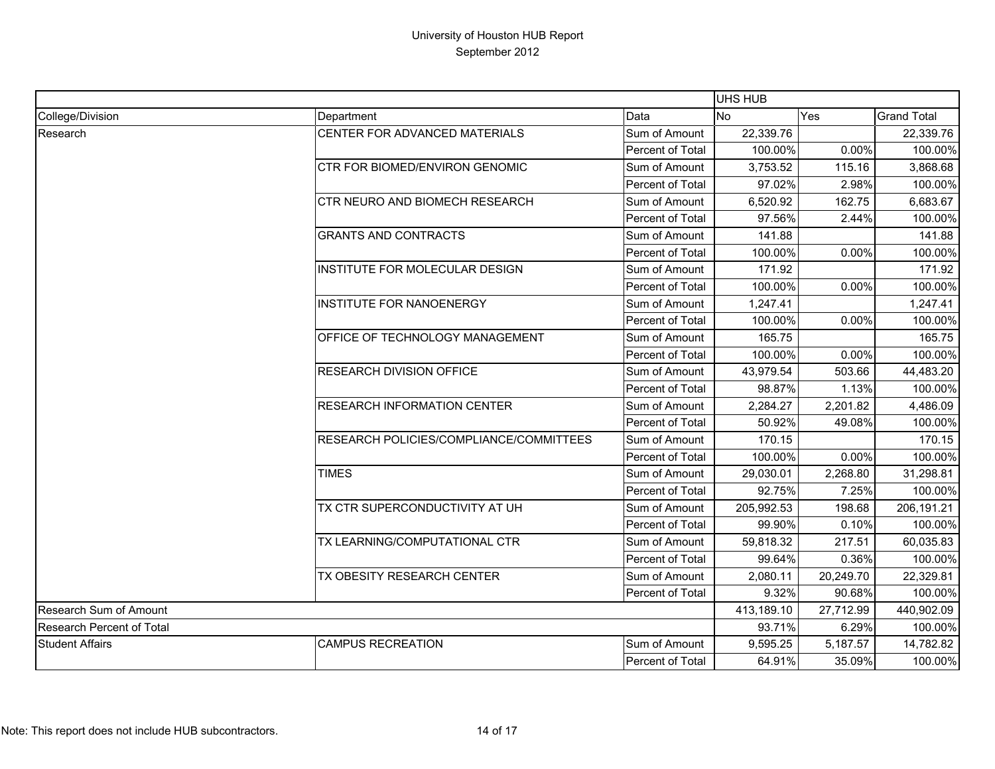|                           |                                         |                         |            | <b>UHS HUB</b> |                    |  |  |
|---------------------------|-----------------------------------------|-------------------------|------------|----------------|--------------------|--|--|
| College/Division          | Department                              | Data                    | <b>No</b>  | Yes            | <b>Grand Total</b> |  |  |
| Research                  | CENTER FOR ADVANCED MATERIALS           | Sum of Amount           | 22,339.76  |                | 22,339.76          |  |  |
|                           |                                         | Percent of Total        | 100.00%    | 0.00%          | 100.00%            |  |  |
|                           | CTR FOR BIOMED/ENVIRON GENOMIC          | Sum of Amount           | 3,753.52   | 115.16         | 3,868.68           |  |  |
|                           |                                         | Percent of Total        | 97.02%     | 2.98%          | 100.00%            |  |  |
|                           | CTR NEURO AND BIOMECH RESEARCH          | Sum of Amount           | 6,520.92   | 162.75         | 6,683.67           |  |  |
|                           |                                         | Percent of Total        | 97.56%     | 2.44%          | 100.00%            |  |  |
|                           | <b>GRANTS AND CONTRACTS</b>             | Sum of Amount           | 141.88     |                | 141.88             |  |  |
|                           |                                         | Percent of Total        | 100.00%    | 0.00%          | 100.00%            |  |  |
|                           | INSTITUTE FOR MOLECULAR DESIGN          | Sum of Amount           | 171.92     |                | 171.92             |  |  |
|                           |                                         | Percent of Total        | 100.00%    | 0.00%          | 100.00%            |  |  |
|                           | INSTITUTE FOR NANOENERGY                | Sum of Amount           | 1,247.41   |                | 1,247.41           |  |  |
|                           |                                         | Percent of Total        | 100.00%    | 0.00%          | 100.00%            |  |  |
|                           | OFFICE OF TECHNOLOGY MANAGEMENT         | Sum of Amount           | 165.75     |                | 165.75             |  |  |
|                           |                                         | Percent of Total        | 100.00%    | 0.00%          | 100.00%            |  |  |
|                           | RESEARCH DIVISION OFFICE                | Sum of Amount           | 43,979.54  | 503.66         | 44,483.20          |  |  |
|                           |                                         | Percent of Total        | 98.87%     | 1.13%          | 100.00%            |  |  |
|                           | <b>RESEARCH INFORMATION CENTER</b>      | Sum of Amount           | 2,284.27   | 2,201.82       | 4,486.09           |  |  |
|                           |                                         | Percent of Total        | 50.92%     | 49.08%         | 100.00%            |  |  |
|                           | RESEARCH POLICIES/COMPLIANCE/COMMITTEES | Sum of Amount           | 170.15     |                | 170.15             |  |  |
|                           |                                         | Percent of Total        | 100.00%    | 0.00%          | 100.00%            |  |  |
|                           | <b>TIMES</b>                            | Sum of Amount           | 29,030.01  | 2,268.80       | 31,298.81          |  |  |
|                           |                                         | Percent of Total        | 92.75%     | 7.25%          | 100.00%            |  |  |
|                           | TX CTR SUPERCONDUCTIVITY AT UH          | Sum of Amount           | 205,992.53 | 198.68         | 206,191.21         |  |  |
|                           |                                         | Percent of Total        | 99.90%     | 0.10%          | 100.00%            |  |  |
|                           | TX LEARNING/COMPUTATIONAL CTR           | Sum of Amount           | 59,818.32  | 217.51         | 60,035.83          |  |  |
|                           |                                         | Percent of Total        | 99.64%     | 0.36%          | 100.00%            |  |  |
|                           | TX OBESITY RESEARCH CENTER              | Sum of Amount           | 2,080.11   | 20,249.70      | 22,329.81          |  |  |
|                           |                                         | Percent of Total        | 9.32%      | 90.68%         | 100.00%            |  |  |
| Research Sum of Amount    |                                         | 413,189.10              | 27,712.99  | 440,902.09     |                    |  |  |
| Research Percent of Total |                                         | 93.71%                  | 6.29%      | 100.00%        |                    |  |  |
| <b>Student Affairs</b>    | <b>CAMPUS RECREATION</b>                | Sum of Amount           | 9,595.25   | 5,187.57       | 14,782.82          |  |  |
|                           |                                         | <b>Percent of Total</b> | 64.91%     | 35.09%         | 100.00%            |  |  |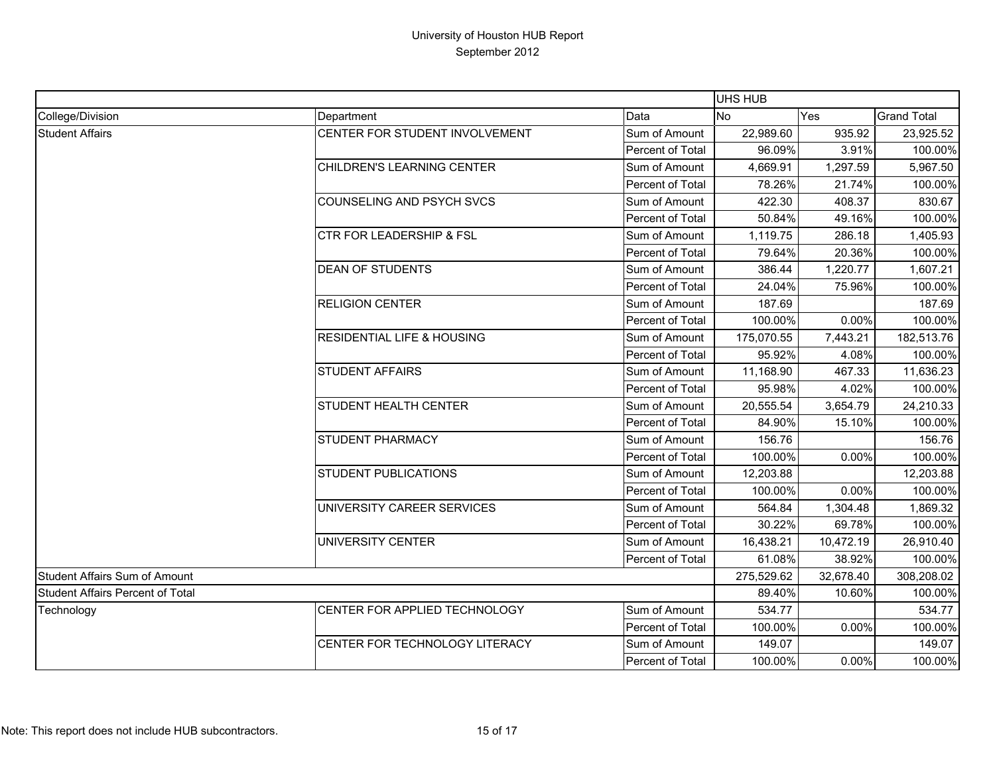|                                         |                                       |                  | <b>UHS HUB</b> |            |                    |
|-----------------------------------------|---------------------------------------|------------------|----------------|------------|--------------------|
| College/Division                        | Department                            | Data             | <b>No</b>      | Yes        | <b>Grand Total</b> |
| <b>Student Affairs</b>                  | CENTER FOR STUDENT INVOLVEMENT        | Sum of Amount    | 22,989.60      | 935.92     | 23,925.52          |
|                                         |                                       | Percent of Total | 96.09%         | 3.91%      | 100.00%            |
|                                         | CHILDREN'S LEARNING CENTER            | Sum of Amount    | 4,669.91       | 1,297.59   | 5,967.50           |
|                                         |                                       | Percent of Total | 78.26%         | 21.74%     | 100.00%            |
|                                         | <b>COUNSELING AND PSYCH SVCS</b>      | Sum of Amount    | 422.30         | 408.37     | 830.67             |
|                                         |                                       | Percent of Total | 50.84%         | 49.16%     | 100.00%            |
|                                         | <b>CTR FOR LEADERSHIP &amp; FSL</b>   | Sum of Amount    | 1,119.75       | 286.18     | 1,405.93           |
|                                         |                                       | Percent of Total | 79.64%         | 20.36%     | 100.00%            |
|                                         | <b>DEAN OF STUDENTS</b>               | Sum of Amount    | 386.44         | 1,220.77   | 1,607.21           |
|                                         |                                       | Percent of Total | 24.04%         | 75.96%     | 100.00%            |
|                                         | <b>RELIGION CENTER</b>                | Sum of Amount    | 187.69         |            | 187.69             |
|                                         |                                       | Percent of Total | 100.00%        | 0.00%      | 100.00%            |
|                                         | <b>RESIDENTIAL LIFE &amp; HOUSING</b> | Sum of Amount    | 175,070.55     | 7,443.21   | 182,513.76         |
|                                         |                                       | Percent of Total | 95.92%         | 4.08%      | 100.00%            |
|                                         | <b>STUDENT AFFAIRS</b>                | Sum of Amount    | 11,168.90      | 467.33     | 11,636.23          |
|                                         |                                       | Percent of Total | 95.98%         | 4.02%      | 100.00%            |
|                                         | <b>STUDENT HEALTH CENTER</b>          | Sum of Amount    | 20,555.54      | 3,654.79   | 24,210.33          |
|                                         |                                       | Percent of Total | 84.90%         | 15.10%     | 100.00%            |
|                                         | <b>STUDENT PHARMACY</b>               | Sum of Amount    | 156.76         |            | 156.76             |
|                                         |                                       | Percent of Total | 100.00%        | 0.00%      | 100.00%            |
|                                         | <b>STUDENT PUBLICATIONS</b>           | Sum of Amount    | 12,203.88      |            | 12,203.88          |
|                                         |                                       | Percent of Total | 100.00%        | 0.00%      | 100.00%            |
|                                         | UNIVERSITY CAREER SERVICES            | Sum of Amount    | 564.84         | 1,304.48   | 1,869.32           |
|                                         |                                       | Percent of Total | 30.22%         | 69.78%     | 100.00%            |
|                                         | UNIVERSITY CENTER                     | Sum of Amount    | 16,438.21      | 10,472.19  | 26,910.40          |
|                                         |                                       | Percent of Total | 61.08%         | 38.92%     | 100.00%            |
| <b>Student Affairs Sum of Amount</b>    |                                       | 275,529.62       | 32,678.40      | 308,208.02 |                    |
| <b>Student Affairs Percent of Total</b> |                                       |                  | 89.40%         | 10.60%     | 100.00%            |
| Technology                              | CENTER FOR APPLIED TECHNOLOGY         | Sum of Amount    | 534.77         |            | 534.77             |
|                                         |                                       | Percent of Total | 100.00%        | 0.00%      | 100.00%            |
|                                         | CENTER FOR TECHNOLOGY LITERACY        | Sum of Amount    | 149.07         |            | 149.07             |
|                                         |                                       | Percent of Total | 100.00%        | 0.00%      | 100.00%            |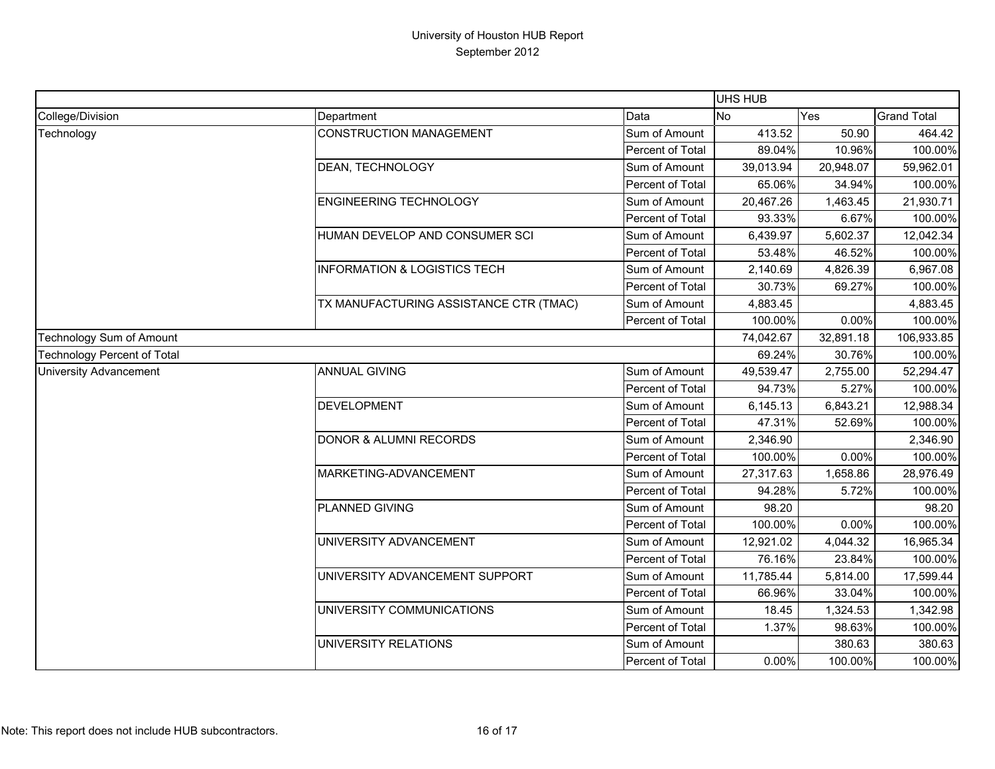|                                    |                                         |                  | <b>UHS HUB</b> |            |                    |
|------------------------------------|-----------------------------------------|------------------|----------------|------------|--------------------|
| College/Division                   | Department                              | Data             | No             | Yes        | <b>Grand Total</b> |
| Technology                         | <b>CONSTRUCTION MANAGEMENT</b>          | Sum of Amount    | 413.52         | 50.90      | 464.42             |
|                                    |                                         | Percent of Total | 89.04%         | 10.96%     | 100.00%            |
|                                    | DEAN, TECHNOLOGY                        | Sum of Amount    | 39,013.94      | 20,948.07  | 59,962.01          |
|                                    |                                         | Percent of Total | 65.06%         | 34.94%     | 100.00%            |
|                                    | <b>ENGINEERING TECHNOLOGY</b>           | Sum of Amount    | 20,467.26      | 1,463.45   | 21,930.71          |
|                                    |                                         | Percent of Total | 93.33%         | 6.67%      | 100.00%            |
|                                    | HUMAN DEVELOP AND CONSUMER SCI          | Sum of Amount    | 6,439.97       | 5,602.37   | 12,042.34          |
|                                    |                                         | Percent of Total | 53.48%         | 46.52%     | 100.00%            |
|                                    | <b>INFORMATION &amp; LOGISTICS TECH</b> | Sum of Amount    | 2,140.69       | 4,826.39   | 6,967.08           |
|                                    |                                         | Percent of Total | 30.73%         | 69.27%     | 100.00%            |
|                                    | TX MANUFACTURING ASSISTANCE CTR (TMAC)  | Sum of Amount    | 4,883.45       |            | 4,883.45           |
|                                    |                                         | Percent of Total | 100.00%        | 0.00%      | 100.00%            |
| Technology Sum of Amount           |                                         | 74,042.67        | 32,891.18      | 106,933.85 |                    |
| <b>Technology Percent of Total</b> |                                         | 69.24%           | 30.76%         | 100.00%    |                    |
| University Advancement             | <b>ANNUAL GIVING</b>                    | Sum of Amount    | 49,539.47      | 2,755.00   | 52,294.47          |
|                                    |                                         | Percent of Total | 94.73%         | 5.27%      | 100.00%            |
|                                    | <b>DEVELOPMENT</b>                      | Sum of Amount    | 6,145.13       | 6,843.21   | 12,988.34          |
|                                    |                                         | Percent of Total | 47.31%         | 52.69%     | 100.00%            |
|                                    | DONOR & ALUMNI RECORDS                  | Sum of Amount    | 2,346.90       |            | 2,346.90           |
|                                    |                                         | Percent of Total | 100.00%        | 0.00%      | 100.00%            |
|                                    | MARKETING-ADVANCEMENT                   | Sum of Amount    | 27,317.63      | 1,658.86   | 28,976.49          |
|                                    |                                         | Percent of Total | 94.28%         | 5.72%      | 100.00%            |
|                                    | PLANNED GIVING                          | Sum of Amount    | 98.20          |            | 98.20              |
|                                    |                                         | Percent of Total | 100.00%        | 0.00%      | 100.00%            |
|                                    | UNIVERSITY ADVANCEMENT                  | Sum of Amount    | 12,921.02      | 4,044.32   | 16,965.34          |
|                                    |                                         | Percent of Total | 76.16%         | 23.84%     | 100.00%            |
|                                    | UNIVERSITY ADVANCEMENT SUPPORT          | Sum of Amount    | 11,785.44      | 5,814.00   | 17,599.44          |
|                                    |                                         | Percent of Total | 66.96%         | 33.04%     | 100.00%            |
|                                    | UNIVERSITY COMMUNICATIONS               | Sum of Amount    | 18.45          | 1,324.53   | 1,342.98           |
|                                    |                                         | Percent of Total | 1.37%          | 98.63%     | 100.00%            |
|                                    | UNIVERSITY RELATIONS                    | Sum of Amount    |                | 380.63     | 380.63             |
|                                    |                                         | Percent of Total | 0.00%          | 100.00%    | 100.00%            |